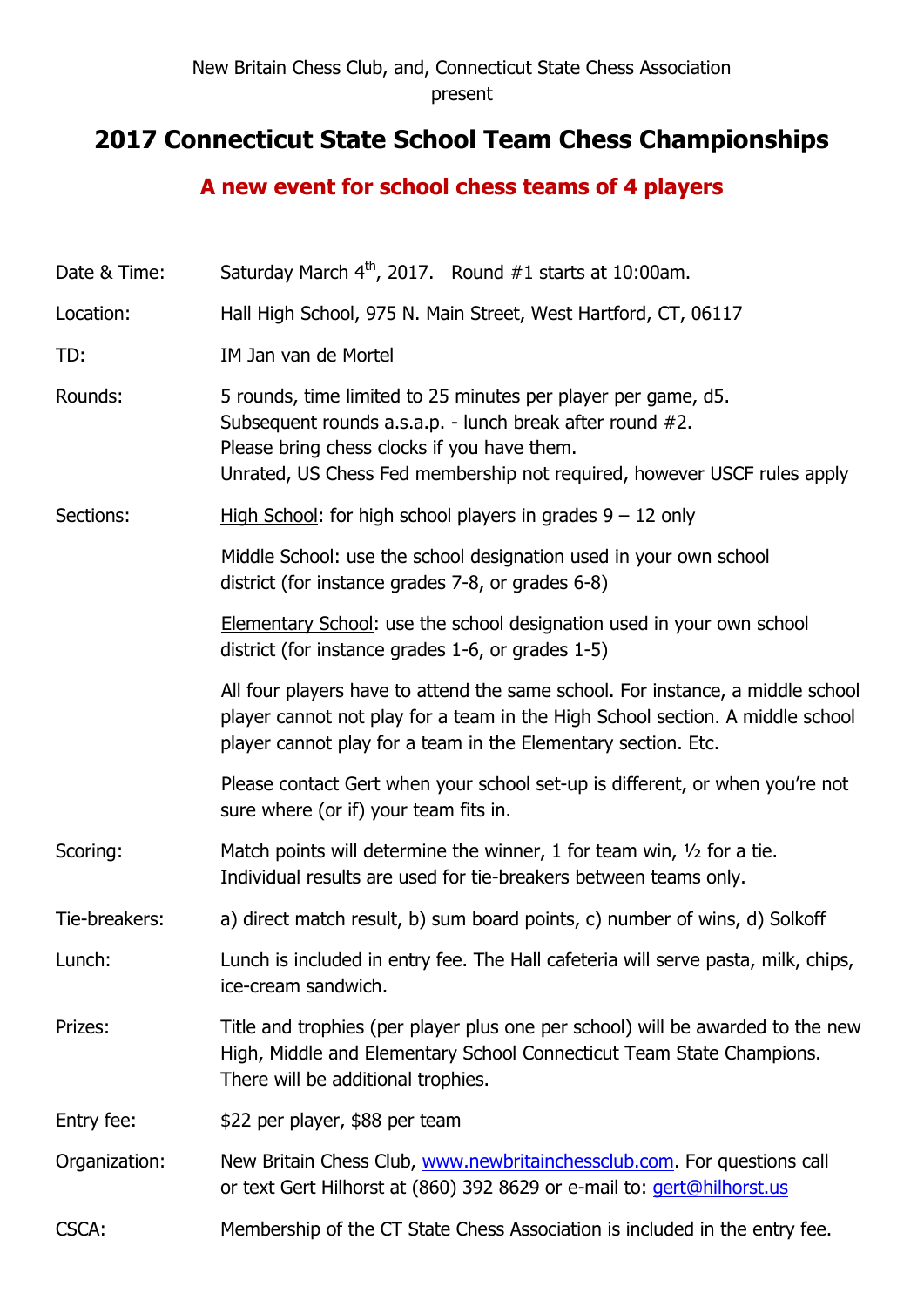## **2017 Connecticut State School Team Chess Championships**

## **A new event for school chess teams of 4 players**

| Date & Time:  | Saturday March $4th$ , 2017. Round #1 starts at 10:00am.                                                                                                                                                                                            |
|---------------|-----------------------------------------------------------------------------------------------------------------------------------------------------------------------------------------------------------------------------------------------------|
| Location:     | Hall High School, 975 N. Main Street, West Hartford, CT, 06117                                                                                                                                                                                      |
| TD:           | IM Jan van de Mortel                                                                                                                                                                                                                                |
| Rounds:       | 5 rounds, time limited to 25 minutes per player per game, d5.<br>Subsequent rounds a.s.a.p. - lunch break after round #2.<br>Please bring chess clocks if you have them.<br>Unrated, US Chess Fed membership not required, however USCF rules apply |
| Sections:     | High School: for high school players in grades $9 - 12$ only                                                                                                                                                                                        |
|               | Middle School: use the school designation used in your own school<br>district (for instance grades 7-8, or grades 6-8)                                                                                                                              |
|               | <b>Elementary School:</b> use the school designation used in your own school<br>district (for instance grades 1-6, or grades 1-5)                                                                                                                   |
|               | All four players have to attend the same school. For instance, a middle school<br>player cannot not play for a team in the High School section. A middle school<br>player cannot play for a team in the Elementary section. Etc.                    |
|               | Please contact Gert when your school set-up is different, or when you're not<br>sure where (or if) your team fits in.                                                                                                                               |
| Scoring:      | Match points will determine the winner, 1 for team win, $\frac{1}{2}$ for a tie.<br>Individual results are used for tie-breakers between teams only.                                                                                                |
| Tie-breakers: | a) direct match result, b) sum board points, c) number of wins, d) Solkoff                                                                                                                                                                          |
| Lunch:        | Lunch is included in entry fee. The Hall cafeteria will serve pasta, milk, chips,<br>ice-cream sandwich.                                                                                                                                            |
| Prizes:       | Title and trophies (per player plus one per school) will be awarded to the new<br>High, Middle and Elementary School Connecticut Team State Champions.<br>There will be additional trophies.                                                        |
| Entry fee:    | \$22 per player, \$88 per team                                                                                                                                                                                                                      |
| Organization: | New Britain Chess Club, www.newbritainchessclub.com. For questions call<br>or text Gert Hilhorst at (860) 392 8629 or e-mail to: <i>gert@hilhorst.us</i>                                                                                            |
| <b>CSCA:</b>  | Membership of the CT State Chess Association is included in the entry fee.                                                                                                                                                                          |